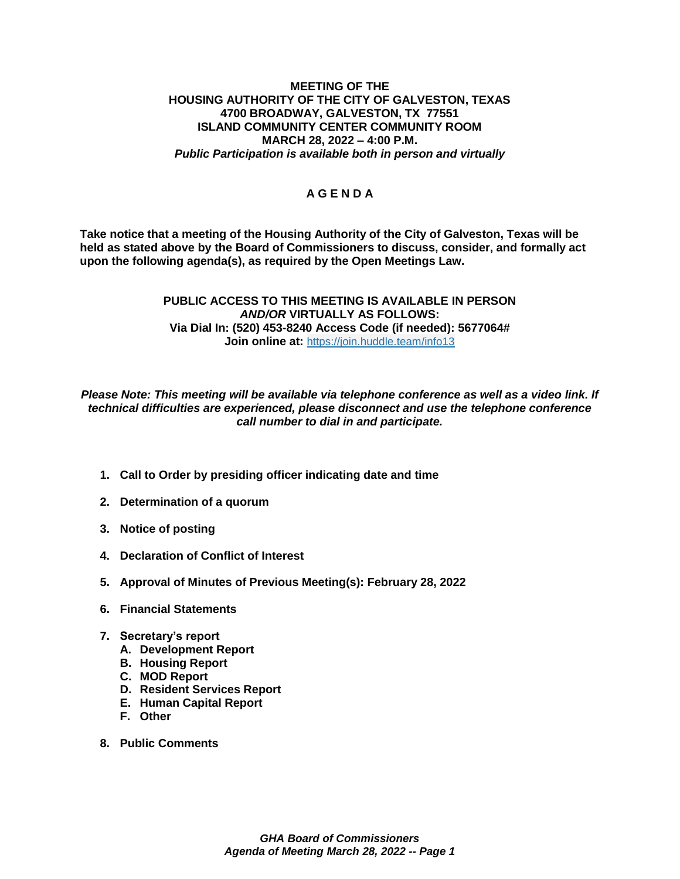## **MEETING OF THE HOUSING AUTHORITY OF THE CITY OF GALVESTON, TEXAS 4700 BROADWAY, GALVESTON, TX 77551 ISLAND COMMUNITY CENTER COMMUNITY ROOM MARCH 28, 2022 – 4:00 P.M.** *Public Participation is available both in person and virtually*

## **A G E N D A**

**Take notice that a meeting of the Housing Authority of the City of Galveston, Texas will be held as stated above by the Board of Commissioners to discuss, consider, and formally act upon the following agenda(s), as required by the Open Meetings Law.** 

## **PUBLIC ACCESS TO THIS MEETING IS AVAILABLE IN PERSON**  *AND/OR* **VIRTUALLY AS FOLLOWS: Via Dial In: (520) 453-8240 Access Code (if needed): 5677064# Join online at:** <https://join.huddle.team/info13>

*Please Note: This meeting will be available via telephone conference as well as a video link. If technical difficulties are experienced, please disconnect and use the telephone conference call number to dial in and participate.*

- **1. Call to Order by presiding officer indicating date and time**
- **2. Determination of a quorum**
- **3. Notice of posting**
- **4. Declaration of Conflict of Interest**
- **5. Approval of Minutes of Previous Meeting(s): February 28, 2022**
- **6. Financial Statements**
- **7. Secretary's report** 
	- **A. Development Report**
	- **B. Housing Report**
	- **C. MOD Report**
	- **D. Resident Services Report**
	- **E. Human Capital Report**
	- **F. Other**
- **8. Public Comments**